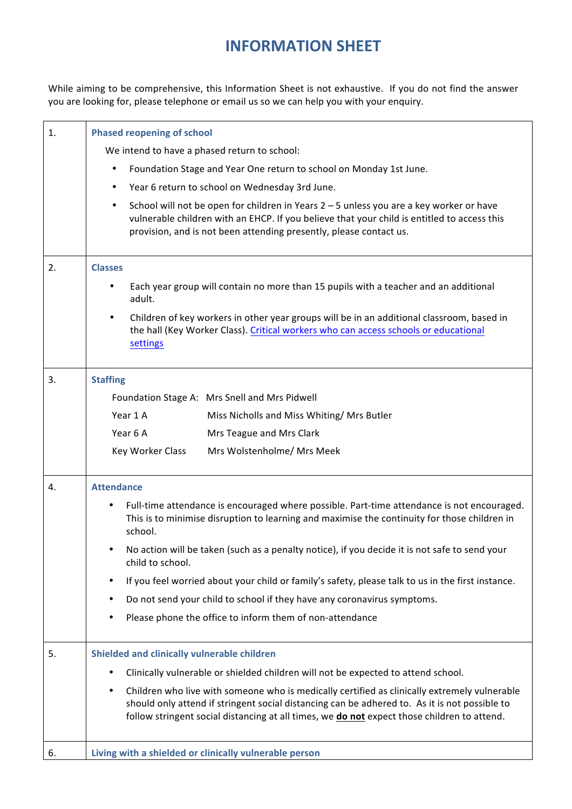## **INFORMATION SHEET**

While aiming to be comprehensive, this Information Sheet is not exhaustive. If you do not find the answer you are looking for, please telephone or email us so we can help you with your enquiry.

| 1. | <b>Phased reopening of school</b>                                                                                                                                                                                                                                                                        |
|----|----------------------------------------------------------------------------------------------------------------------------------------------------------------------------------------------------------------------------------------------------------------------------------------------------------|
|    | We intend to have a phased return to school:                                                                                                                                                                                                                                                             |
|    | Foundation Stage and Year One return to school on Monday 1st June.<br>$\bullet$                                                                                                                                                                                                                          |
|    | Year 6 return to school on Wednesday 3rd June.<br>٠                                                                                                                                                                                                                                                      |
|    | School will not be open for children in Years 2 - 5 unless you are a key worker or have<br>$\bullet$<br>vulnerable children with an EHCP. If you believe that your child is entitled to access this<br>provision, and is not been attending presently, please contact us.                                |
| 2. | <b>Classes</b>                                                                                                                                                                                                                                                                                           |
|    | Each year group will contain no more than 15 pupils with a teacher and an additional<br>adult.                                                                                                                                                                                                           |
|    | Children of key workers in other year groups will be in an additional classroom, based in<br>$\bullet$<br>the hall (Key Worker Class). Critical workers who can access schools or educational<br>settings                                                                                                |
| 3. | <b>Staffing</b>                                                                                                                                                                                                                                                                                          |
|    | Foundation Stage A: Mrs Snell and Mrs Pidwell                                                                                                                                                                                                                                                            |
|    | Year 1 A<br>Miss Nicholls and Miss Whiting/ Mrs Butler                                                                                                                                                                                                                                                   |
|    | Year 6 A<br>Mrs Teague and Mrs Clark                                                                                                                                                                                                                                                                     |
|    | Mrs Wolstenholme/ Mrs Meek<br>Key Worker Class                                                                                                                                                                                                                                                           |
| 4. | <b>Attendance</b>                                                                                                                                                                                                                                                                                        |
|    | Full-time attendance is encouraged where possible. Part-time attendance is not encouraged.<br>٠<br>This is to minimise disruption to learning and maximise the continuity for those children in<br>school.                                                                                               |
|    | No action will be taken (such as a penalty notice), if you decide it is not safe to send your<br>child to school.                                                                                                                                                                                        |
|    | If you feel worried about your child or family's safety, please talk to us in the first instance.<br>$\bullet$                                                                                                                                                                                           |
|    | Do not send your child to school if they have any coronavirus symptoms.<br>٠                                                                                                                                                                                                                             |
|    | Please phone the office to inform them of non-attendance<br>٠                                                                                                                                                                                                                                            |
| 5. | Shielded and clinically vulnerable children                                                                                                                                                                                                                                                              |
|    | Clinically vulnerable or shielded children will not be expected to attend school.                                                                                                                                                                                                                        |
|    | Children who live with someone who is medically certified as clinically extremely vulnerable<br>٠<br>should only attend if stringent social distancing can be adhered to. As it is not possible to<br>follow stringent social distancing at all times, we <b>do not</b> expect those children to attend. |
| 6. | Living with a shielded or clinically vulnerable person                                                                                                                                                                                                                                                   |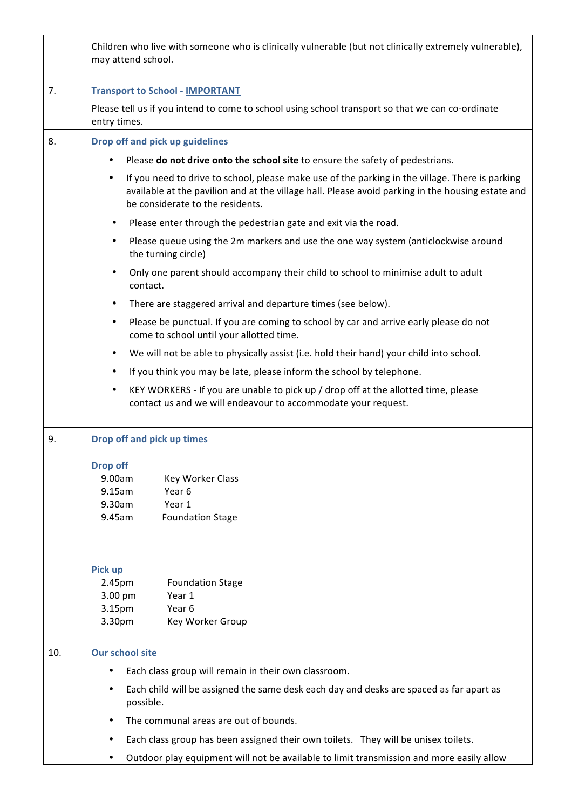|     | Children who live with someone who is clinically vulnerable (but not clinically extremely vulnerable),<br>may attend school.                                                                                                                          |
|-----|-------------------------------------------------------------------------------------------------------------------------------------------------------------------------------------------------------------------------------------------------------|
| 7.  | <b>Transport to School - IMPORTANT</b>                                                                                                                                                                                                                |
|     | Please tell us if you intend to come to school using school transport so that we can co-ordinate<br>entry times.                                                                                                                                      |
| 8.  | Drop off and pick up guidelines                                                                                                                                                                                                                       |
|     | Please do not drive onto the school site to ensure the safety of pedestrians.<br>$\bullet$                                                                                                                                                            |
|     | If you need to drive to school, please make use of the parking in the village. There is parking<br>$\bullet$<br>available at the pavilion and at the village hall. Please avoid parking in the housing estate and<br>be considerate to the residents. |
|     | Please enter through the pedestrian gate and exit via the road.<br>٠                                                                                                                                                                                  |
|     | Please queue using the 2m markers and use the one way system (anticlockwise around<br>$\bullet$<br>the turning circle)                                                                                                                                |
|     | Only one parent should accompany their child to school to minimise adult to adult<br>$\bullet$<br>contact.                                                                                                                                            |
|     | There are staggered arrival and departure times (see below).<br>$\bullet$                                                                                                                                                                             |
|     | Please be punctual. If you are coming to school by car and arrive early please do not<br>$\bullet$<br>come to school until your allotted time.                                                                                                        |
|     | We will not be able to physically assist (i.e. hold their hand) your child into school.<br>$\bullet$                                                                                                                                                  |
|     | If you think you may be late, please inform the school by telephone.<br>$\bullet$                                                                                                                                                                     |
|     | KEY WORKERS - If you are unable to pick up / drop off at the allotted time, please<br>$\bullet$<br>contact us and we will endeavour to accommodate your request.                                                                                      |
| 9.  | Drop off and pick up times                                                                                                                                                                                                                            |
|     | <b>Drop off</b><br>Key Worker Class<br>9.00am<br>9.15am<br>Year 6<br>9.30am<br>Year 1<br>9.45am<br><b>Foundation Stage</b>                                                                                                                            |
|     | Pick up<br>2.45pm<br><b>Foundation Stage</b><br>$3.00$ pm<br>Year 1<br>Year 6<br>3.15pm<br>3.30pm<br>Key Worker Group                                                                                                                                 |
| 10. | <b>Our school site</b>                                                                                                                                                                                                                                |
|     | Each class group will remain in their own classroom.<br>٠                                                                                                                                                                                             |
|     | Each child will be assigned the same desk each day and desks are spaced as far apart as<br>$\bullet$<br>possible.                                                                                                                                     |
|     | The communal areas are out of bounds.<br>$\bullet$                                                                                                                                                                                                    |
|     | Each class group has been assigned their own toilets. They will be unisex toilets.<br>٠                                                                                                                                                               |
|     | Outdoor play equipment will not be available to limit transmission and more easily allow<br>$\bullet$                                                                                                                                                 |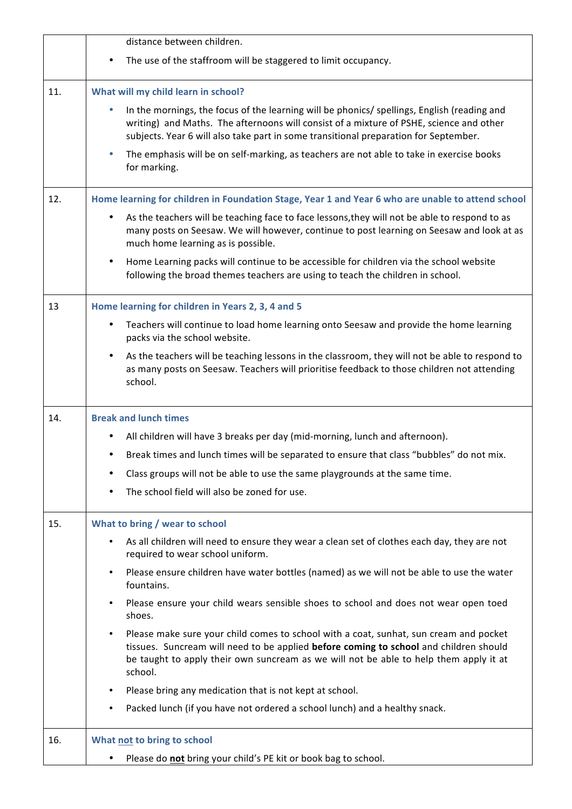|     | distance between children.                                                                                                                                                                                                                                                                      |
|-----|-------------------------------------------------------------------------------------------------------------------------------------------------------------------------------------------------------------------------------------------------------------------------------------------------|
|     | The use of the staffroom will be staggered to limit occupancy.                                                                                                                                                                                                                                  |
| 11. | What will my child learn in school?                                                                                                                                                                                                                                                             |
|     | In the mornings, the focus of the learning will be phonics/ spellings, English (reading and<br>writing) and Maths. The afternoons will consist of a mixture of PSHE, science and other<br>subjects. Year 6 will also take part in some transitional preparation for September.                  |
|     | The emphasis will be on self-marking, as teachers are not able to take in exercise books<br>$\bullet$<br>for marking.                                                                                                                                                                           |
| 12. | Home learning for children in Foundation Stage, Year 1 and Year 6 who are unable to attend school                                                                                                                                                                                               |
|     | As the teachers will be teaching face to face lessons, they will not be able to respond to as<br>$\bullet$<br>many posts on Seesaw. We will however, continue to post learning on Seesaw and look at as<br>much home learning as is possible.                                                   |
|     | Home Learning packs will continue to be accessible for children via the school website<br>$\bullet$<br>following the broad themes teachers are using to teach the children in school.                                                                                                           |
| 13  | Home learning for children in Years 2, 3, 4 and 5                                                                                                                                                                                                                                               |
|     | Teachers will continue to load home learning onto Seesaw and provide the home learning<br>٠<br>packs via the school website.                                                                                                                                                                    |
|     | As the teachers will be teaching lessons in the classroom, they will not be able to respond to<br>$\bullet$<br>as many posts on Seesaw. Teachers will prioritise feedback to those children not attending<br>school.                                                                            |
| 14. | <b>Break and lunch times</b>                                                                                                                                                                                                                                                                    |
|     | All children will have 3 breaks per day (mid-morning, lunch and afternoon).<br>٠                                                                                                                                                                                                                |
|     | Break times and lunch times will be separated to ensure that class "bubbles" do not mix.<br>٠                                                                                                                                                                                                   |
|     | Class groups will not be able to use the same playgrounds at the same time.                                                                                                                                                                                                                     |
|     | The school field will also be zoned for use.                                                                                                                                                                                                                                                    |
| 15. | What to bring / wear to school                                                                                                                                                                                                                                                                  |
|     | As all children will need to ensure they wear a clean set of clothes each day, they are not<br>$\bullet$<br>required to wear school uniform.                                                                                                                                                    |
|     | Please ensure children have water bottles (named) as we will not be able to use the water<br>$\bullet$<br>fountains.                                                                                                                                                                            |
|     | Please ensure your child wears sensible shoes to school and does not wear open toed<br>$\bullet$<br>shoes.                                                                                                                                                                                      |
|     | Please make sure your child comes to school with a coat, sunhat, sun cream and pocket<br>$\bullet$<br>tissues. Suncream will need to be applied before coming to school and children should<br>be taught to apply their own suncream as we will not be able to help them apply it at<br>school. |
|     |                                                                                                                                                                                                                                                                                                 |
|     | Please bring any medication that is not kept at school.<br>$\bullet$                                                                                                                                                                                                                            |
|     | Packed lunch (if you have not ordered a school lunch) and a healthy snack.<br>٠                                                                                                                                                                                                                 |
| 16. | What not to bring to school                                                                                                                                                                                                                                                                     |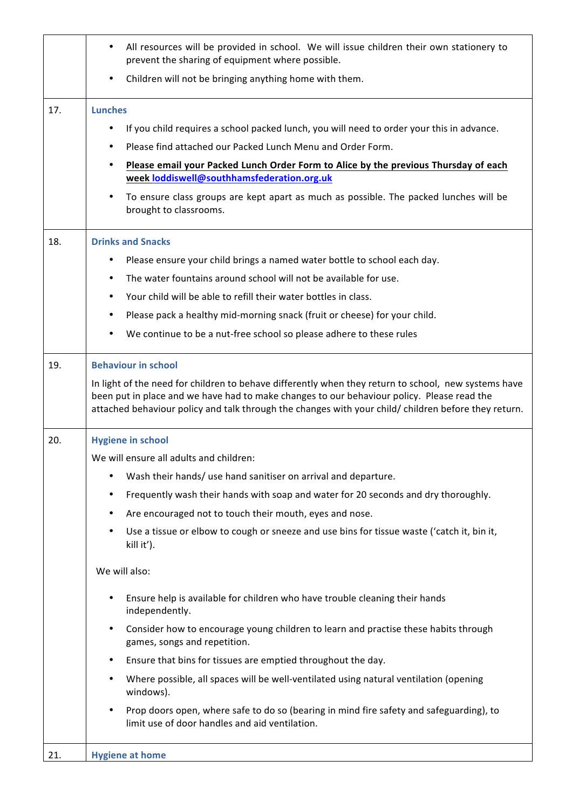|     | All resources will be provided in school. We will issue children their own stationery to<br>$\bullet$<br>prevent the sharing of equipment where possible.                                                                                                                                                  |
|-----|------------------------------------------------------------------------------------------------------------------------------------------------------------------------------------------------------------------------------------------------------------------------------------------------------------|
|     | Children will not be bringing anything home with them.<br>$\bullet$                                                                                                                                                                                                                                        |
| 17. | <b>Lunches</b>                                                                                                                                                                                                                                                                                             |
|     | If you child requires a school packed lunch, you will need to order your this in advance.<br>$\bullet$                                                                                                                                                                                                     |
|     | Please find attached our Packed Lunch Menu and Order Form.<br>$\bullet$                                                                                                                                                                                                                                    |
|     | Please email your Packed Lunch Order Form to Alice by the previous Thursday of each<br>$\bullet$<br>week loddiswell@southhamsfederation.org.uk                                                                                                                                                             |
|     | To ensure class groups are kept apart as much as possible. The packed lunches will be<br>$\bullet$<br>brought to classrooms.                                                                                                                                                                               |
| 18. | <b>Drinks and Snacks</b>                                                                                                                                                                                                                                                                                   |
|     | Please ensure your child brings a named water bottle to school each day.<br>$\bullet$                                                                                                                                                                                                                      |
|     | The water fountains around school will not be available for use.<br>$\bullet$                                                                                                                                                                                                                              |
|     | Your child will be able to refill their water bottles in class.<br>$\bullet$                                                                                                                                                                                                                               |
|     | Please pack a healthy mid-morning snack (fruit or cheese) for your child.<br>٠                                                                                                                                                                                                                             |
|     | We continue to be a nut-free school so please adhere to these rules<br>$\bullet$                                                                                                                                                                                                                           |
| 19. | <b>Behaviour in school</b>                                                                                                                                                                                                                                                                                 |
|     | In light of the need for children to behave differently when they return to school, new systems have<br>been put in place and we have had to make changes to our behaviour policy. Please read the<br>attached behaviour policy and talk through the changes with your child/ children before they return. |
| 20. | <b>Hygiene in school</b>                                                                                                                                                                                                                                                                                   |
|     | We will ensure all adults and children:                                                                                                                                                                                                                                                                    |
|     | Wash their hands/ use hand sanitiser on arrival and departure.<br>$\bullet$                                                                                                                                                                                                                                |
|     | Frequently wash their hands with soap and water for 20 seconds and dry thoroughly.<br>٠                                                                                                                                                                                                                    |
|     | Are encouraged not to touch their mouth, eyes and nose.<br>$\bullet$                                                                                                                                                                                                                                       |
|     | Use a tissue or elbow to cough or sneeze and use bins for tissue waste ('catch it, bin it,<br>$\bullet$<br>kill it').                                                                                                                                                                                      |
|     | We will also:                                                                                                                                                                                                                                                                                              |
|     | Ensure help is available for children who have trouble cleaning their hands<br>$\bullet$<br>independently.                                                                                                                                                                                                 |
|     | Consider how to encourage young children to learn and practise these habits through<br>$\bullet$<br>games, songs and repetition.                                                                                                                                                                           |
|     | Ensure that bins for tissues are emptied throughout the day.<br>٠                                                                                                                                                                                                                                          |
|     | Where possible, all spaces will be well-ventilated using natural ventilation (opening<br>$\bullet$<br>windows).                                                                                                                                                                                            |
|     | Prop doors open, where safe to do so (bearing in mind fire safety and safeguarding), to<br>$\bullet$<br>limit use of door handles and aid ventilation.                                                                                                                                                     |
| 21. | <b>Hygiene at home</b>                                                                                                                                                                                                                                                                                     |